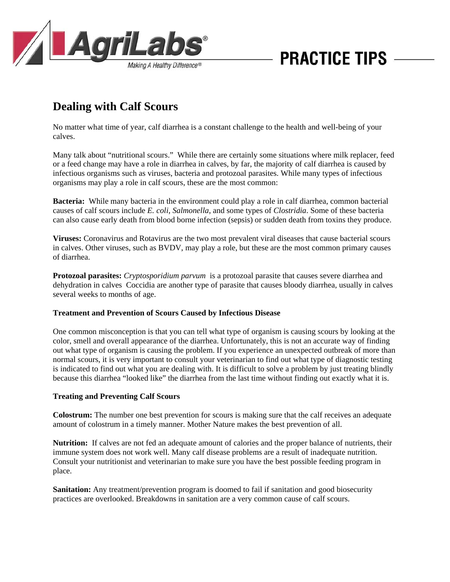

# **PRACTICE TIPS**

## **Dealing with Calf Scours**

No matter what time of year, calf diarrhea is a constant challenge to the health and well-being of your calves.

Many talk about "nutritional scours." While there are certainly some situations where milk replacer, feed or a feed change may have a role in diarrhea in calves, by far, the majority of calf diarrhea is caused by infectious organisms such as viruses, bacteria and protozoal parasites. While many types of infectious organisms may play a role in calf scours, these are the most common:

**Bacteria:** While many bacteria in the environment could play a role in calf diarrhea, common bacterial causes of calf scours include *E. coli*, *Salmonella*, and some types of *Clostridia*. Some of these bacteria can also cause early death from blood borne infection (sepsis) or sudden death from toxins they produce.

**Viruses:** Coronavirus and Rotavirus are the two most prevalent viral diseases that cause bacterial scours in calves. Other viruses, such as BVDV, may play a role, but these are the most common primary causes of diarrhea.

**Protozoal parasites:** *Cryptosporidium parvum* is a protozoal parasite that causes severe diarrhea and dehydration in calves Coccidia are another type of parasite that causes bloody diarrhea, usually in calves several weeks to months of age.

#### **Treatment and Prevention of Scours Caused by Infectious Disease**

One common misconception is that you can tell what type of organism is causing scours by looking at the color, smell and overall appearance of the diarrhea. Unfortunately, this is not an accurate way of finding out what type of organism is causing the problem. If you experience an unexpected outbreak of more than normal scours, it is very important to consult your veterinarian to find out what type of diagnostic testing is indicated to find out what you are dealing with. It is difficult to solve a problem by just treating blindly because this diarrhea "looked like" the diarrhea from the last time without finding out exactly what it is.

#### **Treating and Preventing Calf Scours**

**Colostrum:** The number one best prevention for scours is making sure that the calf receives an adequate amount of colostrum in a timely manner. Mother Nature makes the best prevention of all.

**Nutrition:** If calves are not fed an adequate amount of calories and the proper balance of nutrients, their immune system does not work well. Many calf disease problems are a result of inadequate nutrition. Consult your nutritionist and veterinarian to make sure you have the best possible feeding program in place.

**Sanitation:** Any treatment/prevention program is doomed to fail if sanitation and good biosecurity practices are overlooked. Breakdowns in sanitation are a very common cause of calf scours.